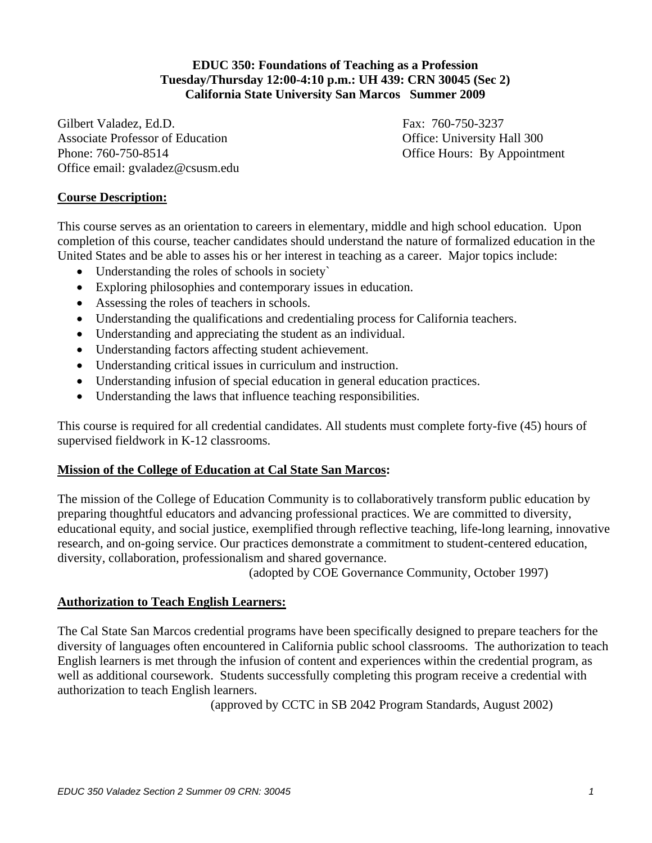## **EDUC 350: Foundations of Teaching as a Profession Tuesday/Thursday 12:00-4:10 p.m.: UH 439: CRN 30045 (Sec 2) California State University San Marcos Summer 2009**

Gilbert Valadez, Ed.D. Fax: 760-750-3237 Associate Professor of Education Office: University Hall 300 Phone: 760-750-8514 Office Hours: By Appointment Office email: gvaladez@csusm.edu

## **Course Description:**

This course serves as an orientation to careers in elementary, middle and high school education. Upon completion of this course, teacher candidates should understand the nature of formalized education in the United States and be able to asses his or her interest in teaching as a career. Major topics include:

- Understanding the roles of schools in society`
- Exploring philosophies and contemporary issues in education.
- Assessing the roles of teachers in schools.
- Understanding the qualifications and credentialing process for California teachers.
- Understanding and appreciating the student as an individual.
- Understanding factors affecting student achievement.
- Understanding critical issues in curriculum and instruction.
- Understanding infusion of special education in general education practices.
- Understanding the laws that influence teaching responsibilities.

This course is required for all credential candidates. All students must complete forty-five (45) hours of supervised fieldwork in K-12 classrooms.

#### **Mission of the College of Education at Cal State San Marcos:**

The mission of the College of Education Community is to collaboratively transform public education by preparing thoughtful educators and advancing professional practices. We are committed to diversity, educational equity, and social justice, exemplified through reflective teaching, life-long learning, innovative research, and on-going service. Our practices demonstrate a commitment to student-centered education, diversity, collaboration, professionalism and shared governance.

(adopted by COE Governance Community, October 1997)

#### **Authorization to Teach English Learners:**

The Cal State San Marcos credential programs have been specifically designed to prepare teachers for the diversity of languages often encountered in California public school classrooms. The authorization to teach English learners is met through the infusion of content and experiences within the credential program, as well as additional coursework. Students successfully completing this program receive a credential with authorization to teach English learners.

(approved by CCTC in SB 2042 Program Standards, August 2002)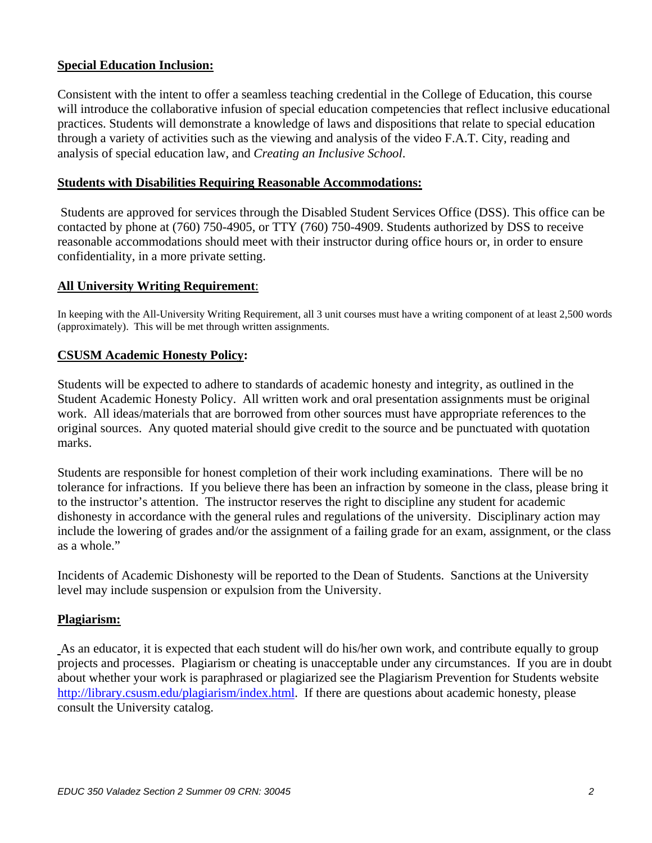## **Special Education Inclusion:**

Consistent with the intent to offer a seamless teaching credential in the College of Education, this course will introduce the collaborative infusion of special education competencies that reflect inclusive educational practices. Students will demonstrate a knowledge of laws and dispositions that relate to special education through a variety of activities such as the viewing and analysis of the video F.A.T. City, reading and analysis of special education law, and *Creating an Inclusive School*.

#### **Students with Disabilities Requiring Reasonable Accommodations:**

Students are approved for services through the Disabled Student Services Office (DSS). This office can be contacted by phone at (760) 750-4905, or TTY (760) 750-4909. Students authorized by DSS to receive reasonable accommodations should meet with their instructor during office hours or, in order to ensure confidentiality, in a more private setting.

#### **All University Writing Requirement:**

 (approximately). This will be met through written assignments. In keeping with the All-University Writing Requirement, all 3 unit courses must have a writing component of at least 2,500 words

#### **CSUSM Academic Honesty Policy:**

Students will be expected to adhere to standards of academic honesty and integrity, as outlined in the Student Academic Honesty Policy. All written work and oral presentation assignments must be original work. All ideas/materials that are borrowed from other sources must have appropriate references to the original sources. Any quoted material should give credit to the source and be punctuated with quotation marks.

Students are responsible for honest completion of their work including examinations. There will be no tolerance for infractions. If you believe there has been an infraction by someone in the class, please bring it to the instructor's attention. The instructor reserves the right to discipline any student for academic dishonesty in accordance with the general rules and regulations of the university. Disciplinary action may include the lowering of grades and/or the assignment of a failing grade for an exam, assignment, or the class as a whole."

Incidents of Academic Dishonesty will be reported to the Dean of Students. Sanctions at the University level may include suspension or expulsion from the University.

#### **Plagiarism:**

As an educator, it is expected that each student will do his/her own work, and contribute equally to group projects and processes. Plagiarism or cheating is unacceptable under any circumstances. If you are in doubt about whether your work is paraphrased or plagiarized see the Plagiarism Prevention for Students website http://library.csusm.edu/plagiarism/index.html. If there are questions about academic honesty, please consult the University catalog.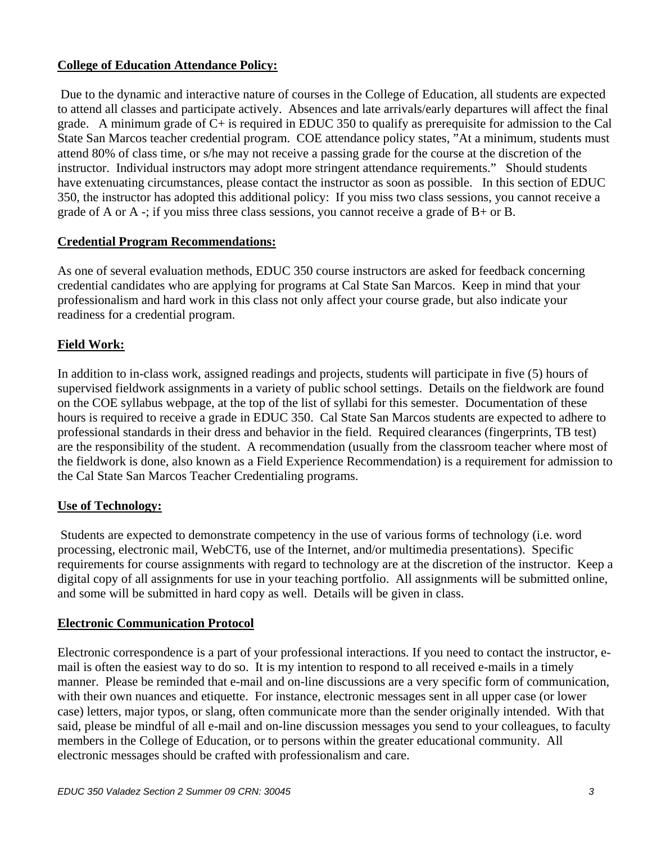## **College of Education Attendance Policy:**

 Due to the dynamic and interactive nature of courses in the College of Education, all students are expected to attend all classes and participate actively. Absences and late arrivals/early departures will affect the final grade. A minimum grade of C+ is required in EDUC 350 to qualify as prerequisite for admission to the Cal State San Marcos teacher credential program. COE attendance policy states, "At a minimum, students must attend 80% of class time, or s/he may not receive a passing grade for the course at the discretion of the instructor. Individual instructors may adopt more stringent attendance requirements." Should students have extenuating circumstances, please contact the instructor as soon as possible. In this section of EDUC 350, the instructor has adopted this additional policy: If you miss two class sessions, you cannot receive a grade of A or A -; if you miss three class sessions, you cannot receive a grade of  $B$ + or B.

## **Credential Program Recommendations:**

As one of several evaluation methods, EDUC 350 course instructors are asked for feedback concerning credential candidates who are applying for programs at Cal State San Marcos. Keep in mind that your professionalism and hard work in this class not only affect your course grade, but also indicate your readiness for a credential program.

# **Field Work:**

In addition to in-class work, assigned readings and projects, students will participate in five (5) hours of supervised fieldwork assignments in a variety of public school settings. Details on the fieldwork are found on the COE syllabus webpage, at the top of the list of syllabi for this semester. Documentation of these hours is required to receive a grade in EDUC 350. Cal State San Marcos students are expected to adhere to professional standards in their dress and behavior in the field. Required clearances (fingerprints, TB test) are the responsibility of the student. A recommendation (usually from the classroom teacher where most of the fieldwork is done, also known as a Field Experience Recommendation) is a requirement for admission to the Cal State San Marcos Teacher Credentialing programs.

## **Use of Technology:**

 Students are expected to demonstrate competency in the use of various forms of technology (i.e. word processing, electronic mail, WebCT6, use of the Internet, and/or multimedia presentations). Specific requirements for course assignments with regard to technology are at the discretion of the instructor. Keep a digital copy of all assignments for use in your teaching portfolio. All assignments will be submitted online, and some will be submitted in hard copy as well. Details will be given in class.

## **Electronic Communication Protocol**

Electronic correspondence is a part of your professional interactions. If you need to contact the instructor, email is often the easiest way to do so. It is my intention to respond to all received e-mails in a timely manner. Please be reminded that e-mail and on-line discussions are a very specific form of communication, with their own nuances and etiquette. For instance, electronic messages sent in all upper case (or lower case) letters, major typos, or slang, often communicate more than the sender originally intended. With that said, please be mindful of all e-mail and on-line discussion messages you send to your colleagues, to faculty members in the College of Education, or to persons within the greater educational community. All electronic messages should be crafted with professionalism and care.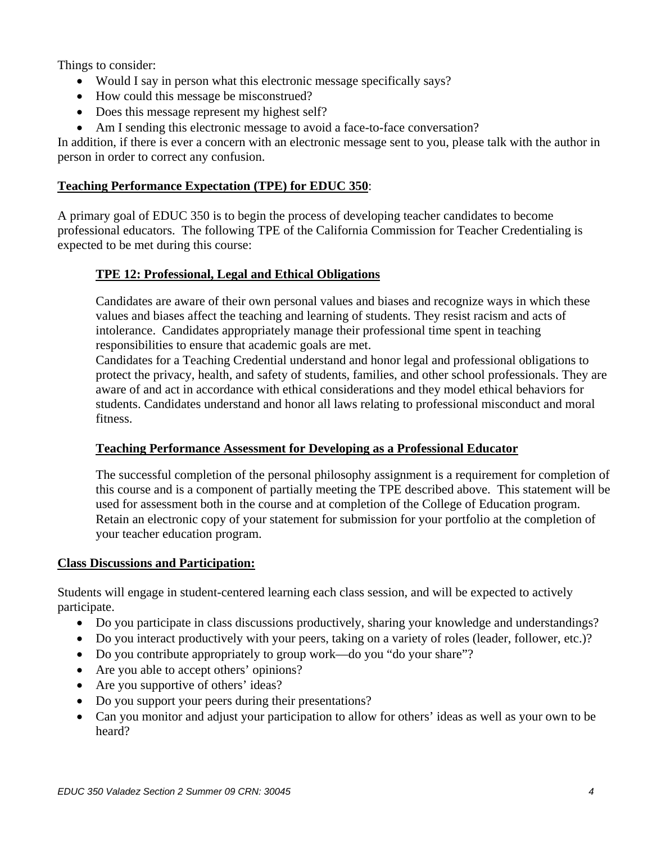Things to consider:

- Would I say in person what this electronic message specifically says?
- How could this message be misconstrued?
- Does this message represent my highest self?
- Am I sending this electronic message to avoid a face-to-face conversation?

In addition, if there is ever a concern with an electronic message sent to you, please talk with the author in person in order to correct any confusion.

## **Teaching Performance Expectation (TPE) for EDUC 350**:

A primary goal of EDUC 350 is to begin the process of developing teacher candidates to become professional educators. The following TPE of the California Commission for Teacher Credentialing is expected to be met during this course:

# **TPE 12: Professional, Legal and Ethical Obligations**

Candidates are aware of their own personal values and biases and recognize ways in which these values and biases affect the teaching and learning of students. They resist racism and acts of intolerance. Candidates appropriately manage their professional time spent in teaching responsibilities to ensure that academic goals are met.

Candidates for a Teaching Credential understand and honor legal and professional obligations to protect the privacy, health, and safety of students, families, and other school professionals. They are aware of and act in accordance with ethical considerations and they model ethical behaviors for students. Candidates understand and honor all laws relating to professional misconduct and moral fitness.

## **Teaching Performance Assessment for Developing as a Professional Educator**

The successful completion of the personal philosophy assignment is a requirement for completion of this course and is a component of partially meeting the TPE described above. This statement will be used for assessment both in the course and at completion of the College of Education program. Retain an electronic copy of your statement for submission for your portfolio at the completion of your teacher education program.

## **Class Discussions and Participation:**

Students will engage in student-centered learning each class session, and will be expected to actively participate.

- Do you participate in class discussions productively, sharing your knowledge and understandings?
- Do you interact productively with your peers, taking on a variety of roles (leader, follower, etc.)?
- Do you contribute appropriately to group work—do you "do your share"?
- Are you able to accept others' opinions?
- Are you supportive of others' ideas?
- Do you support your peers during their presentations?
- Can you monitor and adjust your participation to allow for others' ideas as well as your own to be heard?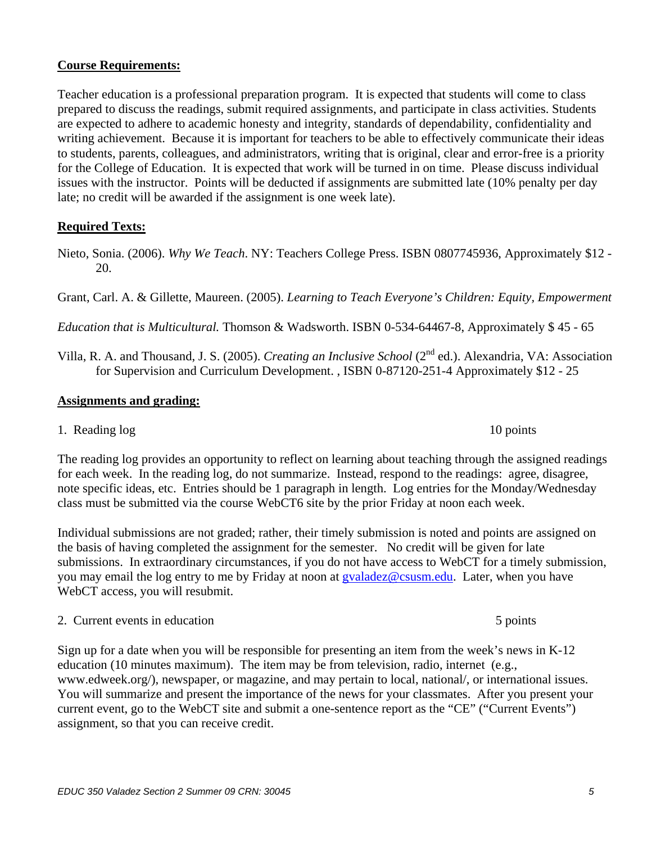#### **Course Requirements:**

Teacher education is a professional preparation program. It is expected that students will come to class prepared to discuss the readings, submit required assignments, and participate in class activities. Students are expected to adhere to academic honesty and integrity, standards of dependability, confidentiality and writing achievement. Because it is important for teachers to be able to effectively communicate their ideas to students, parents, colleagues, and administrators, writing that is original, clear and error-free is a priority for the College of Education. It is expected that work will be turned in on time. Please discuss individual issues with the instructor. Points will be deducted if assignments are submitted late (10% penalty per day late; no credit will be awarded if the assignment is one week late).

## **Required Texts:**

Nieto, Sonia. (2006). *Why We Teach*. NY: Teachers College Press. ISBN 0807745936, Approximately \$12 - 20.

Grant, Carl. A. & Gillette, Maureen. (2005). *Learning to Teach Everyone's Children: Equity, Empowerment* 

*Education that is Multicultural.* Thomson & Wadsworth. ISBN 0-534-64467-8, Approximately \$ 45 - 65

Villa, R. A. and Thousand, J. S. (2005). *Creating an Inclusive School* (2nd ed.). Alexandria, VA: Association for Supervision and Curriculum Development. , ISBN 0-87120-251-4 Approximately \$12 - 25

#### **Assignments and grading:**

1. Reading log 10 points 10 points

The reading log provides an opportunity to reflect on learning about teaching through the assigned readings for each week. In the reading log, do not summarize. Instead, respond to the readings: agree, disagree, note specific ideas, etc. Entries should be 1 paragraph in length. Log entries for the Monday/Wednesday class must be submitted via the course WebCT6 site by the prior Friday at noon each week.

Individual submissions are not graded; rather, their timely submission is noted and points are assigned on the basis of having completed the assignment for the semester. No credit will be given for late submissions. In extraordinary circumstances, if you do not have access to WebCT for a timely submission, you may email the log entry to me by Friday at noon at gvaladez@csusm.edu. Later, when you have WebCT access, you will resubmit.

2. Current events in education 5 points 5 points

Sign up for a date when you will be responsible for presenting an item from the week's news in K-12 education (10 minutes maximum). The item may be from television, radio, internet (e.g., www.edweek.org/), newspaper, or magazine, and may pertain to local, national/, or international issues. You will summarize and present the importance of the news for your classmates. After you present your current event, go to the WebCT site and submit a one-sentence report as the "CE" ("Current Events") assignment, so that you can receive credit.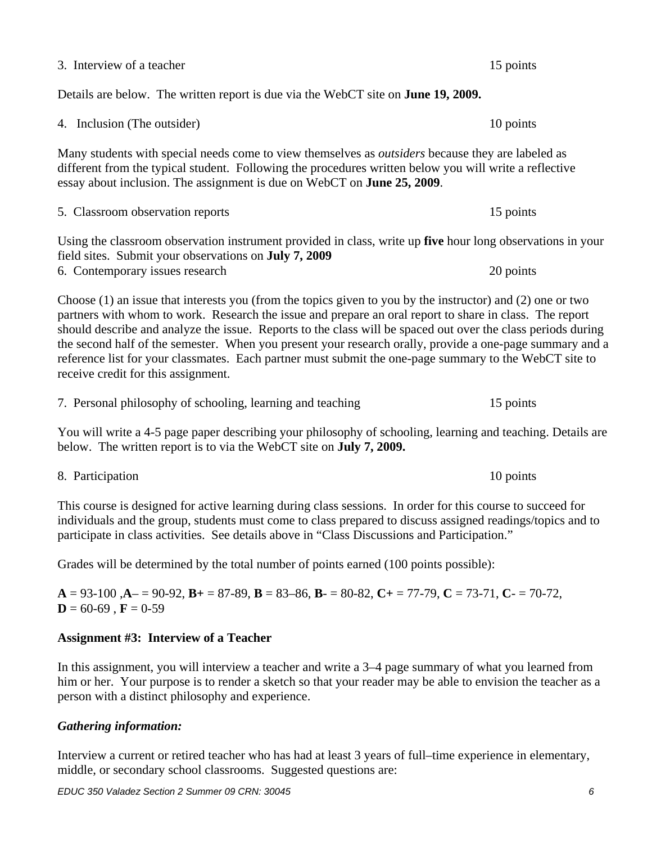3. Interview of a teacher 15 points

Details are below. The written report is due via the WebCT site on **June 19, 2009.** 

Many students with special needs come to view themselves as *outsiders* because they are labeled as different from the typical student. Following the procedures written below you will write a reflective essay about inclusion. The assignment is due on WebCT on **June 25, 2009**.

Using the classroom observation instrument provided in class, write up **five** hour long observations in your field sites. Submit your observations on **July 7, 2009**  6. Contemporary issues research 20 points

Choose (1) an issue that interests you (from the topics given to you by the instructor) and (2) one or two partners with whom to work. Research the issue and prepare an oral report to share in class. The report should describe and analyze the issue. Reports to the class will be spaced out over the class periods during the second half of the semester. When you present your research orally, provide a one-page summary and a reference list for your classmates. Each partner must submit the one-page summary to the WebCT site to receive credit for this assignment.

7. Personal philosophy of schooling, learning and teaching 15 points

You will write a 4-5 page paper describing your philosophy of schooling, learning and teaching. Details are below. The written report is to via the WebCT site on **July 7, 2009.** 

8. Participation 10 points

This course is designed for active learning during class sessions. In order for this course to succeed for individuals and the group, students must come to class prepared to discuss assigned readings/topics and to participate in class activities. See details above in "Class Discussions and Participation."

Grades will be determined by the total number of points earned (100 points possible):

**A** = 93-100 ,**A**– = 90-92, **B+** = 87-89, **B** = 83–86, **B**- = 80-82, **C+** = 77-79, **C** = 73-71, **C**- = 70-72,  $D = 60-69$ ,  $F = 0-59$ 

## **Assignment #3: Interview of a Teacher**

In this assignment, you will interview a teacher and write a 3–4 page summary of what you learned from him or her. Your purpose is to render a sketch so that your reader may be able to envision the teacher as a person with a distinct philosophy and experience.

## *Gathering information:*

Interview a current or retired teacher who has had at least 3 years of full–time experience in elementary, middle, or secondary school classrooms. Suggested questions are:

5. Classroom observation reports 15 points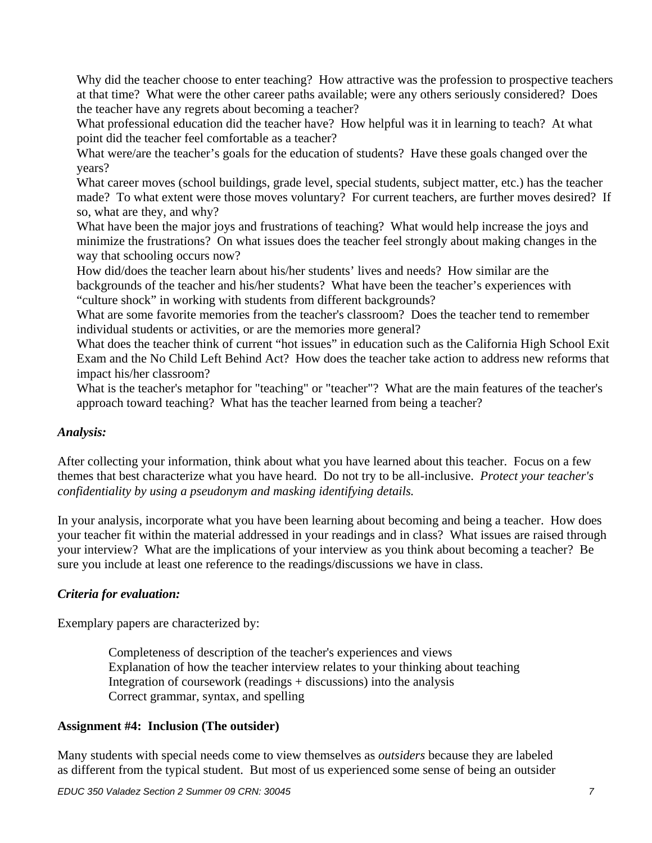Why did the teacher choose to enter teaching? How attractive was the profession to prospective teachers at that time? What were the other career paths available; were any others seriously considered? Does the teacher have any regrets about becoming a teacher?

What professional education did the teacher have? How helpful was it in learning to teach? At what point did the teacher feel comfortable as a teacher?

What were/are the teacher's goals for the education of students? Have these goals changed over the years?

What career moves (school buildings, grade level, special students, subject matter, etc.) has the teacher made? To what extent were those moves voluntary? For current teachers, are further moves desired? If so, what are they, and why?

What have been the major joys and frustrations of teaching? What would help increase the joys and minimize the frustrations? On what issues does the teacher feel strongly about making changes in the way that schooling occurs now?

 backgrounds of the teacher and his/her students? What have been the teacher's experiences with How did/does the teacher learn about his/her students' lives and needs? How similar are the "culture shock" in working with students from different backgrounds?

What are some favorite memories from the teacher's classroom? Does the teacher tend to remember individual students or activities, or are the memories more general?

What does the teacher think of current "hot issues" in education such as the California High School Exit Exam and the No Child Left Behind Act? How does the teacher take action to address new reforms that impact his/her classroom?

What is the teacher's metaphor for "teaching" or "teacher"? What are the main features of the teacher's approach toward teaching? What has the teacher learned from being a teacher?

## *Analysis:*

After collecting your information, think about what you have learned about this teacher. Focus on a few themes that best characterize what you have heard. Do not try to be all-inclusive. *Protect your teacher's confidentiality by using a pseudonym and masking identifying details.* 

In your analysis, incorporate what you have been learning about becoming and being a teacher. How does your teacher fit within the material addressed in your readings and in class? What issues are raised through your interview? What are the implications of your interview as you think about becoming a teacher? Be sure you include at least one reference to the readings/discussions we have in class.

## *Criteria for evaluation:*

Exemplary papers are characterized by:

Completeness of description of the teacher's experiences and views Explanation of how the teacher interview relates to your thinking about teaching Integration of coursework (readings + discussions) into the analysis Correct grammar, syntax, and spelling

#### **Assignment #4: Inclusion (The outsider)**

Many students with special needs come to view themselves as *outsiders* because they are labeled as different from the typical student. But most of us experienced some sense of being an outsider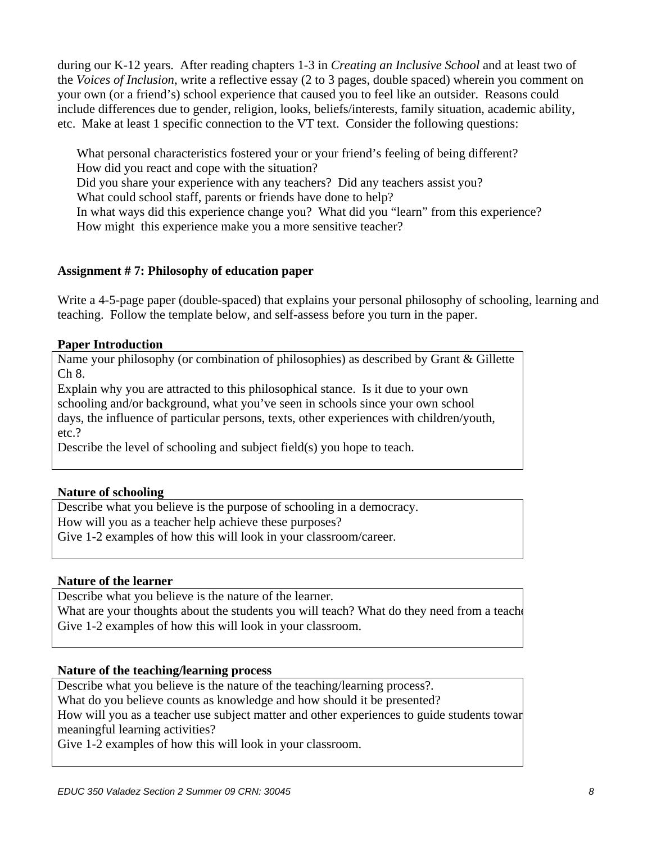during our K-12 years. After reading chapters 1-3 in *Creating an Inclusive School* and at least two of the *Voices of Inclusion*, write a reflective essay (2 to 3 pages, double spaced) wherein you comment on your own (or a friend's) school experience that caused you to feel like an outsider. Reasons could include differences due to gender, religion, looks, beliefs/interests, family situation, academic ability, etc. Make at least 1 specific connection to the VT text. Consider the following questions:

What personal characteristics fostered your or your friend's feeling of being different?<br>How did you react and cope with the situation?<br>Did you share your experience with any teachers? Did any teachers assist you? How did you react and cope with the situation? What could school staff, parents or friends have done to help? In what ways did this experience change you? What did you "learn" from this experience? How might this experience make you a more sensitive teacher?

## **Assignment # 7: Philosophy of education paper**

Write a 4-5-page paper (double-spaced) that explains your personal philosophy of schooling, learning and teaching. Follow the template below, and self-assess before you turn in the paper.

## **Paper Introduction**

Name your philosophy (or combination of philosophies) as described by Grant & Gillette Ch 8.

Explain why you are attracted to this philosophical stance. Is it due to your own schooling and/or background, what you've seen in schools since your own school days, the influence of particular persons, texts, other experiences with children/youth, etc.?

Describe the level of schooling and subject field(s) you hope to teach.

#### **Nature of schooling**

Describe what you believe is the purpose of schooling in a democracy. How will you as a teacher help achieve these purposes? Give 1-2 examples of how this will look in your classroom/career.

#### **Nature of the learner**

Describe what you believe is the nature of the learner. What are your thoughts about the students you will teach? What do they need from a teacher Give 1-2 examples of how this will look in your classroom.

#### **Nature of the teaching/learning process**

Describe what you believe is the nature of the teaching/learning process?.

What do you believe counts as knowledge and how should it be presented?

 meaningful learning activities? How will you as a teacher use subject matter and other experiences to guide students towar

Give 1-2 examples of how this will look in your classroom.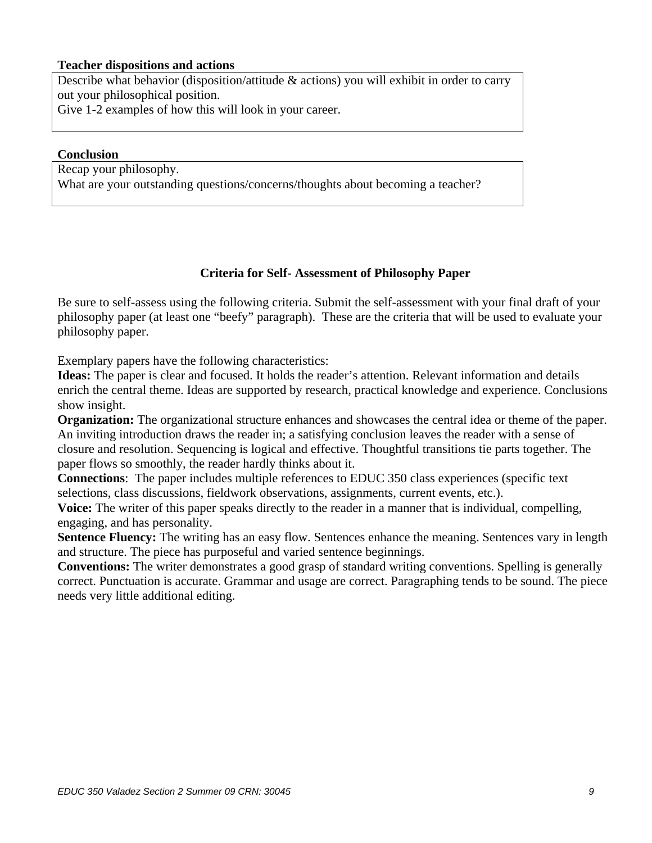#### **Teacher dispositions and actions**

Describe what behavior (disposition/attitude & actions) you will exhibit in order to carry out your philosophical position.

Give 1-2 examples of how this will look in your career.

#### **Conclusion**

Recap your philosophy. What are your outstanding questions/concerns/thoughts about becoming a teacher?

#### **Criteria for Self- Assessment of Philosophy Paper**

Be sure to self-assess using the following criteria. Submit the self-assessment with your final draft of your philosophy paper (at least one "beefy" paragraph). These are the criteria that will be used to evaluate your philosophy paper.

Exemplary papers have the following characteristics:

**Ideas:** The paper is clear and focused. It holds the reader's attention. Relevant information and details enrich the central theme. Ideas are supported by research, practical knowledge and experience. Conclusions show insight.

**Organization:** The organizational structure enhances and showcases the central idea or theme of the paper. An inviting introduction draws the reader in; a satisfying conclusion leaves the reader with a sense of closure and resolution. Sequencing is logical and effective. Thoughtful transitions tie parts together. The paper flows so smoothly, the reader hardly thinks about it.

**Connections**: The paper includes multiple references to EDUC 350 class experiences (specific text selections, class discussions, fieldwork observations, assignments, current events, etc.).

**Voice:** The writer of this paper speaks directly to the reader in a manner that is individual, compelling, engaging, and has personality.

**Sentence Fluency:** The writing has an easy flow. Sentences enhance the meaning. Sentences vary in length and structure. The piece has purposeful and varied sentence beginnings.

**Conventions:** The writer demonstrates a good grasp of standard writing conventions. Spelling is generally correct. Punctuation is accurate. Grammar and usage are correct. Paragraphing tends to be sound. The piece needs very little additional editing.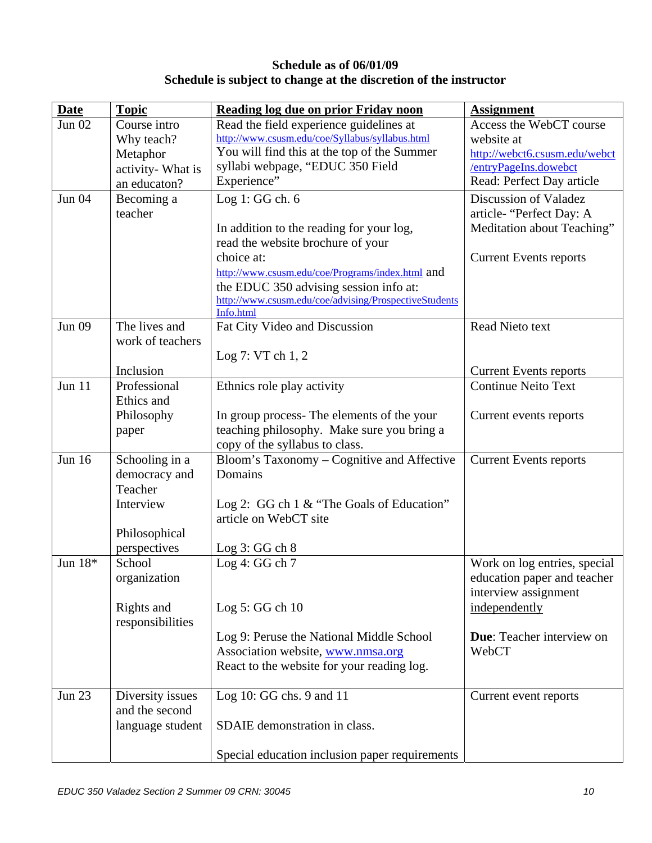# **Schedule as of 06/01/09 Schedule is subject to change at the discretion of the instructor**

| <b>Date</b>   | <b>Topic</b>      | Reading log due on prior Friday noon                  | <b>Assignment</b>             |
|---------------|-------------------|-------------------------------------------------------|-------------------------------|
| <b>Jun 02</b> | Course intro      | Read the field experience guidelines at               | Access the WebCT course       |
|               | Why teach?        | http://www.csusm.edu/coe/Syllabus/syllabus.html       | website at                    |
|               | Metaphor          | You will find this at the top of the Summer           | http://webct6.csusm.edu/webct |
|               | activity- What is | syllabi webpage, "EDUC 350 Field                      | /entryPageIns.dowebct         |
|               | an educaton?      | Experience"                                           | Read: Perfect Day article     |
| Jun 04        | Becoming a        | Log 1: GG ch. 6                                       | Discussion of Valadez         |
|               | teacher           |                                                       | article- "Perfect Day: A      |
|               |                   | In addition to the reading for your log,              | Meditation about Teaching"    |
|               |                   | read the website brochure of your                     |                               |
|               |                   | choice at:                                            | <b>Current Events reports</b> |
|               |                   | http://www.csusm.edu/coe/Programs/index.html and      |                               |
|               |                   | the EDUC 350 advising session info at:                |                               |
|               |                   | http://www.csusm.edu/coe/advising/ProspectiveStudents |                               |
| <b>Jun 09</b> | The lives and     | Info.html                                             | Read Nieto text               |
|               | work of teachers  | Fat City Video and Discussion                         |                               |
|               |                   | Log 7: VT ch 1, 2                                     |                               |
|               | Inclusion         |                                                       | <b>Current Events reports</b> |
| Jun 11        | Professional      | Ethnics role play activity                            | <b>Continue Neito Text</b>    |
|               | Ethics and        |                                                       |                               |
|               | Philosophy        | In group process- The elements of the your            | Current events reports        |
|               | paper             | teaching philosophy. Make sure you bring a            |                               |
|               |                   | copy of the syllabus to class.                        |                               |
| <b>Jun 16</b> | Schooling in a    | Bloom's Taxonomy – Cognitive and Affective            | <b>Current Events reports</b> |
|               | democracy and     | Domains                                               |                               |
|               | Teacher           |                                                       |                               |
|               | Interview         | Log 2: GG ch 1 & "The Goals of Education"             |                               |
|               |                   | article on WebCT site                                 |                               |
|               | Philosophical     |                                                       |                               |
|               | perspectives      | Log $3:GGch 8$                                        |                               |
| Jun 18*       | School            | Log 4: GG ch 7                                        | Work on log entries, special  |
|               | organization      |                                                       | education paper and teacher   |
|               |                   |                                                       | interview assignment          |
|               | Rights and        | Log $5:GG$ ch $10$                                    | independently                 |
|               | responsibilities  |                                                       |                               |
|               |                   | Log 9: Peruse the National Middle School              | Due: Teacher interview on     |
|               |                   | Association website, www.nmsa.org                     | WebCT                         |
|               |                   | React to the website for your reading log.            |                               |
| <b>Jun 23</b> | Diversity issues  | Log $10:GG$ chs. 9 and $11$                           | Current event reports         |
|               | and the second    |                                                       |                               |
|               | language student  | SDAIE demonstration in class.                         |                               |
|               |                   |                                                       |                               |
|               |                   | Special education inclusion paper requirements        |                               |